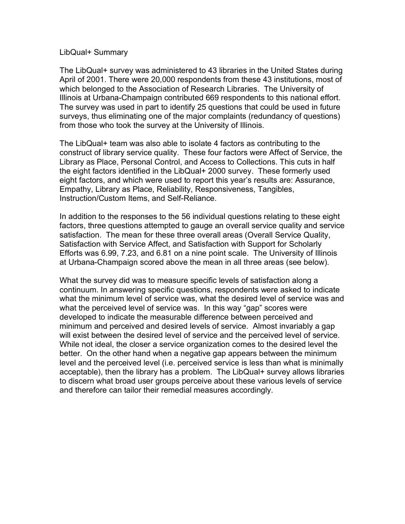#### LibQual+ Summary

The LibQual+ survey was administered to 43 libraries in the United States during April of 2001. There were 20,000 respondents from these 43 institutions, most of which belonged to the Association of Research Libraries. The University of Illinois at Urbana-Champaign contributed 669 respondents to this national effort. The survey was used in part to identify 25 questions that could be used in future surveys, thus eliminating one of the major complaints (redundancy of questions) from those who took the survey at the University of Illinois.

The LibQual+ team was also able to isolate 4 factors as contributing to the construct of library service quality. These four factors were Affect of Service, the Library as Place, Personal Control, and Access to Collections. This cuts in half the eight factors identified in the LibQual+ 2000 survey. These formerly used eight factors, and which were used to report this year's results are: Assurance, Empathy, Library as Place, Reliability, Responsiveness, Tangibles, Instruction/Custom Items, and Self-Reliance.

In addition to the responses to the 56 individual questions relating to these eight factors, three questions attempted to gauge an overall service quality and service satisfaction. The mean for these three overall areas (Overall Service Quality, Satisfaction with Service Affect, and Satisfaction with Support for Scholarly Efforts was 6.99, 7.23, and 6.81 on a nine point scale. The University of Illinois at Urbana-Champaign scored above the mean in all three areas (see below).

What the survey did was to measure specific levels of satisfaction along a continuum. In answering specific questions, respondents were asked to indicate what the minimum level of service was, what the desired level of service was and what the perceived level of service was. In this way "gap" scores were developed to indicate the measurable difference between perceived and minimum and perceived and desired levels of service. Almost invariably a gap will exist between the desired level of service and the perceived level of service. While not ideal, the closer a service organization comes to the desired level the better. On the other hand when a negative gap appears between the minimum level and the perceived level (i.e. perceived service is less than what is minimally acceptable), then the library has a problem. The LibQual+ survey allows libraries to discern what broad user groups perceive about these various levels of service and therefore can tailor their remedial measures accordingly.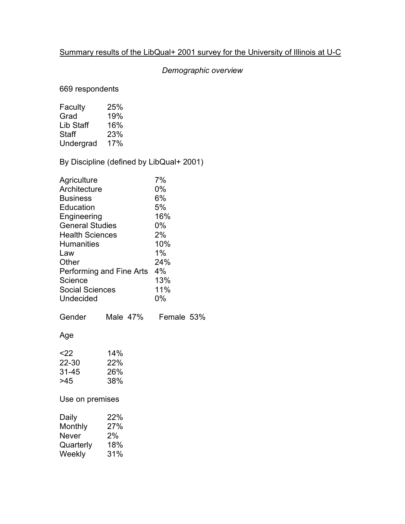## Summary results of the LibQual+ 2001 survey for the University of Illinois at U-C

# *Demographic overview*

669 respondents

| Faculty   | 25% |
|-----------|-----|
| Grad      | 19% |
| Lib Staff | 16% |
| Staff     | 23% |
| Undergrad | 17% |

# By Discipline (defined by LibQual+ 2001)

| Agriculture<br>Architecture<br><b>Business</b><br>Education<br>Engineering<br><b>General Studies</b><br><b>Health Sciences</b> | 7%<br>$0\%$<br>6%<br>5%<br>16%<br>$0\%$<br>2% |            |  |
|--------------------------------------------------------------------------------------------------------------------------------|-----------------------------------------------|------------|--|
| <b>Humanities</b>                                                                                                              | 10%                                           |            |  |
| Law                                                                                                                            | $1\%$                                         |            |  |
| Other                                                                                                                          | 24%                                           |            |  |
| Performing and Fine Arts<br>Science                                                                                            | 4%<br>13%                                     |            |  |
| <b>Social Sciences</b>                                                                                                         | 11%                                           |            |  |
| Undecided                                                                                                                      | $0\%$                                         |            |  |
| Gender                                                                                                                         | Male $47\%$                                   | Female 53% |  |
|                                                                                                                                |                                               |            |  |
| Age                                                                                                                            |                                               |            |  |
| $22$                                                                                                                           | 14%                                           |            |  |
| 22-30                                                                                                                          | 22%                                           |            |  |
| 31-45                                                                                                                          | 26%                                           |            |  |
| >45                                                                                                                            | 38%                                           |            |  |
| Use on premises                                                                                                                |                                               |            |  |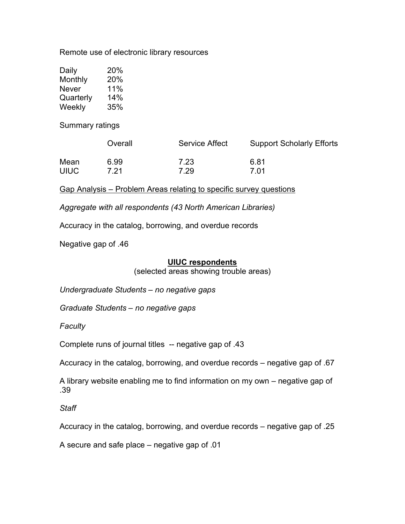Remote use of electronic library resources

| Daily     | 20%    |
|-----------|--------|
| Monthly   | 20%    |
| Never     | $11\%$ |
| Quarterly | 14%    |
| Weekly    | 35%    |

Summary ratings

|             | Overall | <b>Service Affect</b> | <b>Support Scholarly Efforts</b> |
|-------------|---------|-----------------------|----------------------------------|
| Mean        | 6.99    | 7.23                  | 6.81                             |
| <b>UIUC</b> | 7.21    | 7.29                  | 7 01                             |

Gap Analysis – Problem Areas relating to specific survey questions

*Aggregate with all respondents (43 North American Libraries)*

Accuracy in the catalog, borrowing, and overdue records

Negative gap of .46

#### **UIUC respondents**

(selected areas showing trouble areas)

*Undergraduate Students – no negative gaps*

*Graduate Students – no negative gaps*

*Faculty*

Complete runs of journal titles -- negative gap of .43

Accuracy in the catalog, borrowing, and overdue records – negative gap of .67

A library website enabling me to find information on my own – negative gap of .39

*Staff*

Accuracy in the catalog, borrowing, and overdue records – negative gap of .25

A secure and safe place – negative gap of .01